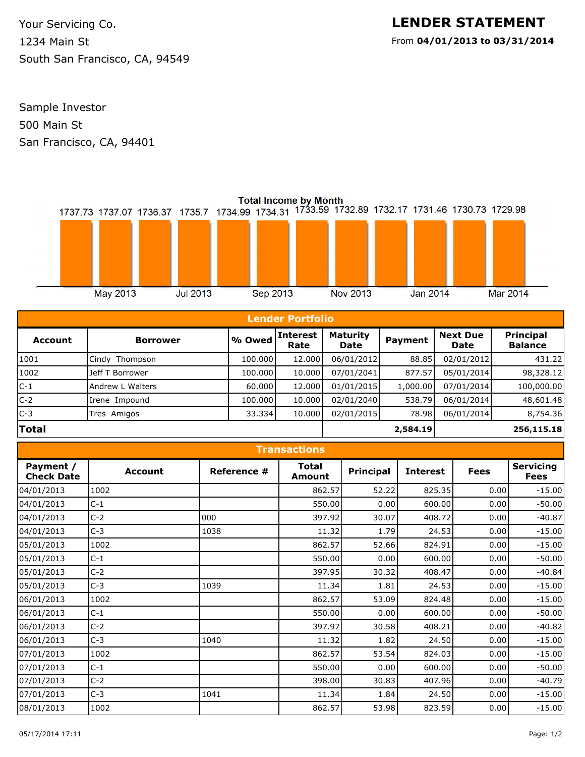**LENDER STATEMENT** From **04/01/2013 to 03/31/2014**

1234 Main St Your Servicing Co. South San Francisco, CA, 94549

500 Main St Sample Investor San Francisco, CA, 94401



| <b>Lender Portfolio</b> |                  |         |                         |                                |          |                         |                                    |  |
|-------------------------|------------------|---------|-------------------------|--------------------------------|----------|-------------------------|------------------------------------|--|
| <b>Account</b>          | <b>Borrower</b>  | % Owed  | <b>Interest</b><br>Rate | <b>Maturity</b><br><b>Date</b> | Payment  | <b>Next Due</b><br>Date | <b>Principal</b><br><b>Balance</b> |  |
| 1001                    | Cindy Thompson   | 100.000 | 12.000                  | 06/01/2012                     | 88.85    | 02/01/2012              | 431.22                             |  |
| 1002                    | Jeff T Borrower  | 100.000 | 10.000                  | 07/01/2041                     | 877.57   | 05/01/2014              | 98,328.12                          |  |
| $ C-1 $                 | Andrew L Walters | 60.000  | 12.000                  | 01/01/2015                     | 1,000.00 | 07/01/2014              | 100,000.00                         |  |
| $C-2$                   | Irene Impound    | 100.000 | 10.000                  | 02/01/2040                     | 538.79   | 06/01/2014              | 48,601.48                          |  |
| $C-3$                   | Tres Amigos      | 33.334  | 10.000                  | 02/01/2015                     | 78.98    | 06/01/2014              | 8,754.36                           |  |
| <b>Total</b>            |                  |         | 2,584.19                |                                |          | 256,115.18              |                                    |  |

| <b>Transactions</b>            |                |             |                        |                  |                 |             |                                 |  |  |  |
|--------------------------------|----------------|-------------|------------------------|------------------|-----------------|-------------|---------------------------------|--|--|--|
| Payment /<br><b>Check Date</b> | <b>Account</b> | Reference # | <b>Total</b><br>Amount | <b>Principal</b> | <b>Interest</b> | <b>Fees</b> | <b>Servicing</b><br><b>Fees</b> |  |  |  |
| 04/01/2013                     | 1002           |             | 862.57                 | 52.22            | 825.35          | 0.00        | $-15.00$                        |  |  |  |
| 04/01/2013                     | $C-1$          |             | 550.00                 | 0.00             | 600.00          | 0.00        | $-50.00$                        |  |  |  |
| 04/01/2013                     | $C-2$          | 000         | 397.92                 | 30.07            | 408.72          | 0.00        | $-40.87$                        |  |  |  |
| 04/01/2013                     | $C-3$          | 1038        | 11.32                  | 1.79             | 24.53           | 0.00        | $-15.00$                        |  |  |  |
| 05/01/2013                     | 1002           |             | 862.57                 | 52.66            | 824.91          | 0.00        | $-15.00$                        |  |  |  |
| 05/01/2013                     | $C-1$          |             | 550.00                 | 0.00             | 600.00          | 0.00        | $-50.00$                        |  |  |  |
| 05/01/2013                     | $C-2$          |             | 397.95                 | 30.32            | 408.47          | 0.00        | $-40.84$                        |  |  |  |
| 05/01/2013                     | $C-3$          | 1039        | 11.34                  | 1.81             | 24.53           | 0.00        | $-15.00$                        |  |  |  |
| 06/01/2013                     | 1002           |             | 862.57                 | 53.09            | 824.48          | 0.00        | $-15.00$                        |  |  |  |
| 06/01/2013                     | $C-1$          |             | 550.00                 | 0.00             | 600.00          | 0.00        | $-50.00$                        |  |  |  |
| 06/01/2013                     | $C-2$          |             | 397.97                 | 30.58            | 408.21          | 0.00        | $-40.82$                        |  |  |  |
| 06/01/2013                     | $C-3$          | 1040        | 11.32                  | 1.82             | 24.50           | 0.00        | $-15.00$                        |  |  |  |
| 07/01/2013                     | 1002           |             | 862.57                 | 53.54            | 824.03          | 0.00        | $-15.00$                        |  |  |  |
| 07/01/2013                     | $C-1$          |             | 550.00                 | 0.00             | 600.00          | 0.00        | $-50.00$                        |  |  |  |
| 07/01/2013                     | $C-2$          |             | 398.00                 | 30.83            | 407.96          | 0.00        | $-40.79$                        |  |  |  |
| 07/01/2013                     | $C-3$          | 1041        | 11.34                  | 1.84             | 24.50           | 0.00        | $-15.00$                        |  |  |  |
| 08/01/2013                     | 1002           |             | 862.57                 | 53.98            | 823.59          | 0.00        | $-15.00$                        |  |  |  |